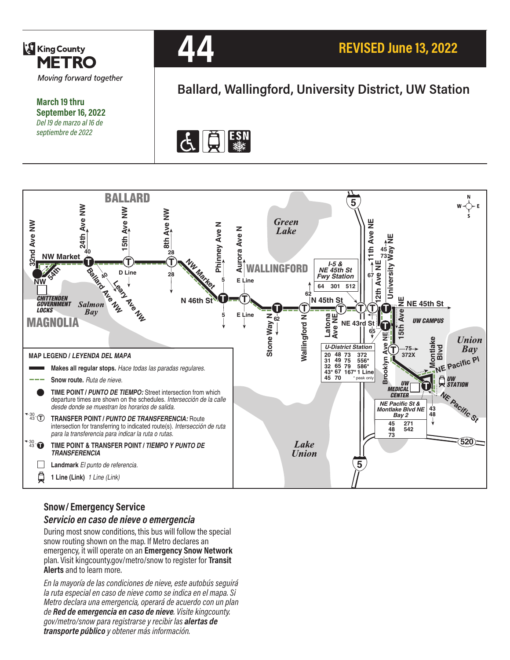

**March 19 thru September 16, 2022** *Del 19 de marzo al 16 de septiembre de 2022*



# **Ballard, Wallingford, University District, UW Station**





# **Snow/ Emergency Service**

*Servicio en caso de nieve o emergencia*

During most snow conditions, this bus will follow the special snow routing shown on the map. If Metro declares an emergency, it will operate on an **Emergency Snow Network**  plan. Visit kingcounty.gov/metro/snow to register for **Transit Alerts** and to learn more.

*En la mayoría de las condiciones de nieve, este autobús seguirá la ruta especial en caso de nieve como se indica en el mapa. Si Metro declara una emergencia, operará de acuerdo con un plan de Red de emergencia en caso de nieve. Visite kingcounty. gov/metro/snow para registrarse y recibir las alertas de transporte público y obtener más información.*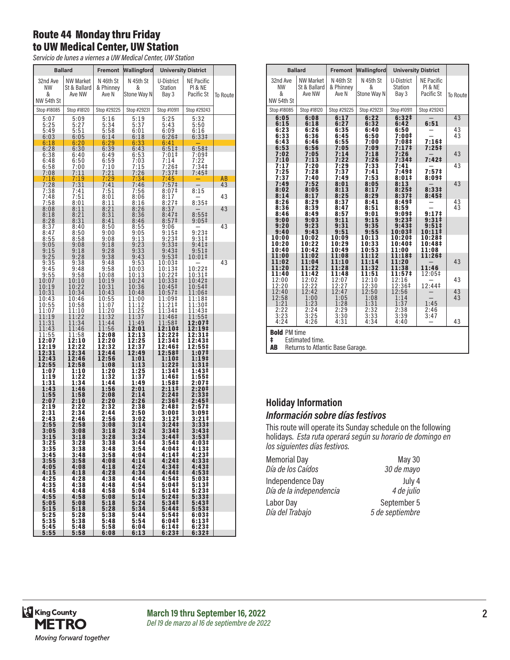## Route 44 Monday thru Friday to UW Medical Center, UW Station

*Servicio de lunes a viernes a UW Medical Center, UW Station*

|                                   | <b>Ballard</b>                             |                                 | Fremont Wallingford           | <b>University District</b>                      |                                            |          |
|-----------------------------------|--------------------------------------------|---------------------------------|-------------------------------|-------------------------------------------------|--------------------------------------------|----------|
| 32nd Ave<br>NW<br>&<br>NW 54th St | <b>NW Market</b><br>St & Ballard<br>Ave NW | N 46th St<br>& Phinney<br>Ave N | N 45th St<br>&<br>Stone Way N | U-District<br>Station<br>Bay 3                  | <b>NE Pacific</b><br>PI & NE<br>Pacific St | To Route |
| Stop #18085                       | Stop #18120                                | Stop #29225                     | Stop #29231                   | Stop #10911                                     | Stop #29243                                |          |
| 5:07<br>5:25<br>5:49<br>6:03      | 5:09<br>5:27<br>5:51<br>6:05               | 5:16<br>5:34<br>5:58<br>6:14    | 5:19<br>5:37<br>6:01<br>6:18  | 5:25<br>5:43<br>6:09<br>6:26 <sup>‡</sup>       | 5:32<br>5:50<br>6:16<br>6:33‡              |          |
| 6:18<br>6:28                      | 6:20<br>6:30                               | 6:29<br>6:39                    | 6:33<br>6:43                  | 6:41<br>6:51#                                   | 6:58 <sup>‡</sup>                          |          |
| 6:38<br>6:48<br>6:58              | 6:40<br>6:50<br>7:00                       | 6:49<br>6:59<br>7:10            | 6:53<br>7:03<br>7:15          | 7:01‡<br>7:14<br>$7:26+$                        | 7:09 <sup>‡</sup><br>7:22<br>7:34‡         |          |
| 7:08<br>7:16                      | 7:11<br>7:19                               | 7:21<br>7:29                    | 7:26<br>7:34                  | 7:37‡<br>7:45                                   | 7:45‡                                      | AB       |
| 7:28                              | 7:31                                       | 7:41                            | 7:46                          | 7:57‡                                           |                                            | 43       |
| 7:38<br>7:48<br>7:58              | 7:41<br>7:51<br>8:01                       | 7:51<br>8:01<br>8:11            | 7:56<br>8:06<br>8:16          | 8:07‡<br>8:17<br>8:27‡                          | 8:15<br>8:35#                              | 43       |
| 8:08<br>8:18<br>8:28              | 8:11<br>8:21<br>8:31                       | 8:21<br>8:31<br>8:41            | 8:26<br>8:36<br>8:46          | 8:37<br>8:47 <sup>‡</sup><br>8:57‡              | 8:55 <sup>‡</sup><br>$9:05\ddagger$        | 43       |
| 8:37<br>8:47<br>8:55              | 8:40<br>8:50<br>8:58                       | 8:50<br>9:00<br>9:08            | 8:55<br>9:05<br>9:13          | 9:06<br>9:15‡<br>9:23‡                          | $9:23 \frac{1}{7}$<br>9:31‡                | 43       |
| 9:05<br>9:15<br>9:25              | 9:08<br>9:18<br>9:28                       | 9:18<br>$9:28$<br>$9:38$        | 9:23<br>9:33<br>9:43          | 9:33‡<br>9:43 <sup>‡</sup><br>9:53 <sup>‡</sup> | $9:41 \div$<br>9:51<br>10:01‡              |          |
| 9:35<br>9:45<br>9:55              | 9:38<br>9:48<br>9:58                       | 9:48<br>9:58<br>10:08           | 9:53<br>10:03<br>10:13        | 10:03‡<br>10:13‡<br>10:22‡                      | 10:22‡<br>10:31‡                           | 43       |
| 10:07<br>10:19<br>10:31           | 10:10<br>10:22<br>10:34                    | 10:19<br>10:31<br>10:43         | 10:24<br>10:36<br>10:48       | 10:33‡<br>10:45‡<br>10:57‡                      | 10:42‡<br>10:54‡<br>11:06‡                 |          |
| 10:43<br>10:55<br>11:07           | 10:46<br>10:58<br>11:10                    | 10:55<br>11:07<br>11:20         | 11:00<br>11:12<br>11:25       | 11:09‡<br>11:21‡<br>11:34‡                      | 11:18‡<br>11:30‡<br>11:43‡                 |          |
| 11:19<br>11:31<br>11:43           | 11:22<br>11:34<br>11:46                    | 11:32<br>11:44<br>11:56         | 11:37<br>11:49<br>12:01       | 11:46‡<br>11:58‡<br>12:10‡                      | 11:55‡<br>12:07‡<br>12:19‡                 |          |
| 11:55<br>12:07<br>12:19           | 11:58<br>12:10<br>12:22                    | 12:08<br>12:20<br>12:32         | 12:13<br>12:25<br>12:37       | 12:22‡<br>12:34‡<br>12:46‡                      | 12:31‡<br>12:43‡<br>12:55                  |          |
| 12:31<br>12:43<br>12:55           | 12:34<br>12:46<br>12:58                    | 12:44<br>12:56<br>1:08          | 12:49<br>1:01<br>1:13         | 12:58‡<br>1:10‡<br>1:22‡                        | 1:07‡<br>1:19‡<br>1:31‡                    |          |
| 1:07<br>1:19<br>1:31              | 1:10<br>1:22<br>1:34                       | 1:20<br>1:32<br>1:44            | 1:25<br>1:37<br>1:49          | 1:34‡<br>1:46‡<br>1:58‡                         | 1:43‡<br>1:55‡<br>2:07‡                    |          |
| 1:43<br>1:55<br>2:07              | 1:46<br>1:58<br>2:10                       | 1:56<br>2:08<br>2:20            | 2:01<br>2:14<br>2:26          | 2:11‡<br>2:24‡<br>2:36‡                         | 2:20‡<br>2:33‡<br>2:45‡                    |          |
| 2:19<br>2:31                      | 2:22<br>2:34                               | 2:32<br>2:44<br>2:56            | 2:38<br>2:50                  | 2:48‡<br>3:00‡<br>3:12‡                         | 2:57‡<br>3:09‡<br>3:21‡                    |          |
| 2:43<br>2:55<br>$3:05$<br>$3:15$  | 2:46<br>2:58<br>3:08                       | 3:08<br>3:18<br>3:28            | 3:02<br>3:14<br>3:24<br>3:34  | 3:24‡<br>3:34‡                                  | 3:33#<br>3:43‡                             |          |
| 3:25<br>3:35                      | 3:18<br>3:28<br>3:38                       | 3:38<br>3:48                    | 3:44<br>3:54                  | 3:44 <sup>‡</sup><br>3:54‡<br>4:04‡             | 3:53 <sup>‡</sup><br>4:03‡<br>4:13‡        |          |
| 3:45<br>$3:55$<br>$4:05$          | 3:48<br>3:58<br>4:08                       | 3:58<br>4:08<br>4:18            | 4:04<br>4:14<br>4:24          | 4:14‡<br>4:24‡<br>4:34‡                         | 4:23‡<br>4:33‡<br>4:43 <sup>‡</sup>        |          |
| 4:15<br>4:25<br>4:35              | 4:18<br>4:28<br>4:38                       | 4:28<br>4:38<br>4:48            | 4:34<br>4:44<br>4:54          | 4:44‡<br>4:54‡<br>$5:04*$                       | 4:53#<br>5:03#<br>5:13‡                    |          |
| 4:45<br>4:55<br>5:05              | 4:48<br>4:58<br>5:08                       | 4:58<br>5:08<br>5:18            | 5:04<br>5:14<br>5:24          | 5:141<br>5:24 <sup>‡</sup><br>5:34‡             | 5:23‡<br>5:33#<br>5:43 <sup>‡</sup>        |          |
| 5:15<br>5:25                      | 5:18<br>5:28<br>5:38                       | 5:28<br>5:38<br>5:48            | 5:34<br>5:44<br>5:54          | 5:44‡<br>$5:54*$<br>6:04‡                       | 5:531<br>6:03‡<br>6:13‡                    |          |
| 5:35<br>5:45<br>5:55              | 5:48<br>5:58                               | 5:58<br>6:08                    | 6:04<br>6:13                  | 6:14‡<br>6:23‡                                  | $6:23+$<br>6:32 <sup>‡</sup>               |          |

|                                          | <b>Ballard</b>                             | <b>Fremont</b>                  | Wallingford                   |                                                | <b>University District</b>                            |          |
|------------------------------------------|--------------------------------------------|---------------------------------|-------------------------------|------------------------------------------------|-------------------------------------------------------|----------|
| 32nd Ave<br><b>NW</b><br>&<br>NW 54th St | <b>NW Market</b><br>St & Ballard<br>Ave NW | N 46th St<br>& Phinney<br>Ave N | N 45th St<br>&<br>Stone Way N | U-District<br><b>Station</b><br>Bay 3          | <b>NE Pacific</b><br><b>PI &amp; NE</b><br>Pacific St | To Route |
| Stop #18085                              | Stop #18120                                | Stop #29225                     | Stop #29231                   | Stop #10911                                    | Stop #29243                                           |          |
| 6:05<br>6:15                             | 6:08<br>6:18                               | 6:17<br>6:27                    | 6:22<br>6:32                  | 6:32#<br>6:42                                  | 6:51                                                  | 43       |
| 6:23<br>6:33<br>6:43                     | 6:26<br>6:36<br>6:46                       | 6:35<br>6:45<br>6:55            | 6:40<br>6:50<br>7:00          | 6:50<br>7:00‡<br>7:08‡                         | $7:16+$                                               | 43<br>43 |
| 6:53<br>7:02<br>7:10                     | 6:56<br>7:05<br>7:13                       | 7:05<br>7:14<br>7:22            | 7:09<br>7:18<br>7:26          | 7:17‡<br>7:26<br>7:34 <sup>‡</sup>             | $7:25+$<br>7:42 <sup>‡</sup>                          | 43       |
| 7:17<br>7:25<br>7:37                     | 7:20<br>7:28<br>7:40                       | 7:29<br>7:37<br>7:49            | 7:33<br>7:41<br>7:53          | 7:41<br>7:49‡<br>8:01‡                         | 7:57 <sup>‡</sup><br>8:09#                            | 43       |
| 7:49<br>8:02<br>8:14                     | 7:52<br>8:05<br>8:17                       | 8:01<br>8:13<br>8:25            | 8:05<br>8:17<br>8:29          | 8:13<br>8:25 <sup>‡</sup><br>8:37 <sup>‡</sup> | 8:331<br>8:45 <sup>‡</sup>                            | 43       |
| 8:26<br>8:36<br>8:46                     | 8:29<br>8:39<br>8:49                       | 8:37<br>8:47<br>8:57            | 8:41<br>8:51<br>9:01          | 8:49‡<br>8:59<br>9:09#                         | 9:17 <sup>‡</sup>                                     | 43<br>43 |
| 9:00<br>9:20<br>9:40                     | 9:03<br>9:23<br>9:43                       | 9:11<br>9:31<br>9:51            | 9:15<br>9:35<br>9:55          | 9:23‡<br>9:43 <sup>‡</sup><br>10:03‡           | 9:31 <sup>‡</sup><br>$9:51\ddagger$<br>10:111         |          |
| 10:00<br>10:20<br>10:40                  | 10:02<br>10:22<br>10:42                    | 10:09<br>10:29<br>10:49         | 10:13<br>10:33<br>10:53       | 10:20‡<br>10:40‡<br>11:00                      | 10:28‡<br>10:48‡<br>11:08                             |          |
| 11:00<br>11:02<br>11:20                  | 11:02<br>11:04<br>11:22                    | 11:08<br>11:10<br>11:28         | 11:12<br>11:14<br>11:32       | 11:18‡<br>11:20<br>11:38                       | 11:26‡<br>11:46                                       | 43       |
| 11:40<br>12:00<br>12:20                  | 11:42<br>12:02<br>12:22                    | 11:48<br>12:07<br>12:27         | 11:51<br>12:10<br>12:30       | 11:57‡<br>12:16<br>12:36‡                      | 12:05‡<br>12:44‡                                      | 43       |
| 12:40<br>12:58<br>1:21                   | 12:42<br>1:00<br>1:23                      | 12:47<br>1:05<br>1:28           | 12:50<br>1:08<br>1:31         | 12:56<br>1:14<br>1:37                          | 1:45                                                  | 43<br>43 |
| 2:22<br>3:23<br>4:24                     | 2:24<br>3:25<br>4:26                       | 2:29<br>3:30<br>4:31            | 2:32<br>3:33<br>4:34          | 2:38<br>3:39<br>4:40                           | 2:46<br>3:47                                          | 43       |
| <b>Bold PM time</b><br>ŧ                 | Estimated time.                            |                                 |                               |                                                |                                                       |          |

AB Returns to Atlantic Base Garage.

#### **Holiday Information** *Información sobre días festivos*

This route will operate its Sunday schedule on the following holidays. *Esta ruta operará según su horario de domingo en los siguientes días festivos.*

| <b>Memorial Day</b>     | May 30          |
|-------------------------|-----------------|
| Día de los Caídos       | 30 de mayo      |
| Independence Day        | July 4          |
| Día de la independencia | 4 de julio      |
| Labor Day               | September 5     |
| Día del Trabajo         | 5 de septiembre |

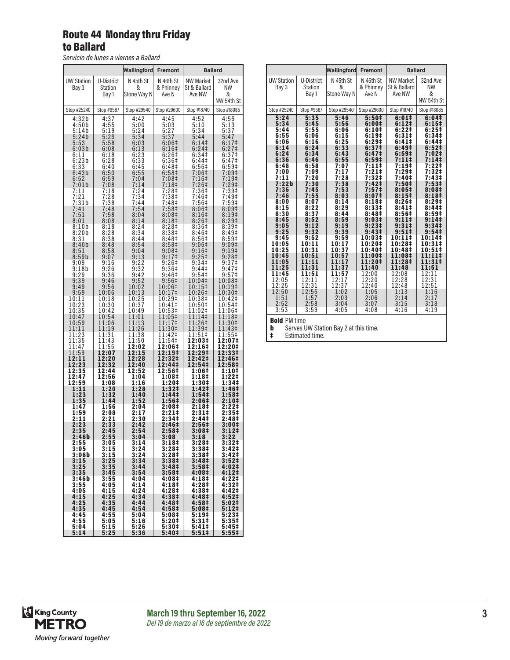## Route 44 Monday thru Friday to Ballard

*Servicio de lunes a viernes a Ballard*

|                            |                                | Wallingford                   | Fremont                         |                                            | <b>Ballard</b>                    |
|----------------------------|--------------------------------|-------------------------------|---------------------------------|--------------------------------------------|-----------------------------------|
| <b>UW Station</b><br>Bay 3 | U-District<br>Station<br>Bay 1 | N 45th St<br>&<br>Stone Way N | N 46th St<br>& Phinney<br>Ave N | <b>NW Market</b><br>St & Ballard<br>Ave NW | 32nd Ave<br>ΝW<br>&<br>NW 54th St |
| Stop #25240                | Stop #9587                     | Stop #29540                   | Stop #29600                     | Stop #18740                                | Stop #18085                       |
| 4:32b                      | 4:37                           | 4:42                          | 4:45                            | 4:52                                       | 4:55                              |
| 4:50b                      | 4:55                           | 5:00                          | 5:03                            | 5:10                                       | 5:13                              |
| 5:14b                      | 5:19                           | 5:24                          | 5:27                            | 5:34                                       | 5:37                              |
| 5:24b                      | 5:29                           | 5:34                          | 5:37                            | 5:44                                       | 5:47                              |
| 5:53                       | 5:58                           | 6:03                          | 6:06 <sup>‡</sup>               | 6:14                                       | 6:17 <sup>‡</sup>                 |
| 6:03b                      | 6:08                           | 6:13                          | 6:16‡                           | 6:24                                       | $6:27$ ‡                          |
| 6:11                       | 6:18                           |                               | $6:26\ddagger$                  | 6:34 <sup>‡</sup>                          | 6:37 <sup>‡</sup>                 |
| 6:23b                      | 6:28                           | $6:23$<br>$6:33$              | 6:36#                           | 6:44‡                                      | 6:47‡                             |
| 6:33                       | 6:40                           | 6:45                          | 6:48‡                           | 6:56‡                                      | 6:59‡                             |
| 6:43b                      | 6:50                           | 6:55                          | 6:58‡                           | 7:06‡                                      | 7:09‡                             |
| 6:52                       | 6:59                           | 7:04                          | 7:08‡                           | 7:16‡                                      | 7:19‡                             |
| 7:01b                      | 7:08                           | 7:14                          | 7:18 <sup>‡</sup>               | 7:26‡                                      | $7:29+$                           |
| 7:11                       | 7:18                           | 7:24                          | 7:28‡                           | 7:36‡                                      | $7:39+$                           |
| 7:21                       | 7:28                           | 7:34                          | 7:38‡                           | 7:46‡                                      | 7:49‡                             |
| 7:31b                      | 7:38                           | 7:44                          | 7:48‡                           | 7:56‡                                      | 7:59 <sup>‡</sup>                 |
| 7:41                       | 7:48                           | 7:54                          | 7:58‡                           | 8:06‡                                      | 8:09‡                             |
| 7:51                       | 7:58                           | 8:04                          | 8:08 <sup>‡</sup>               | 8:16 <sup>‡</sup>                          | 8:19 <sup>‡</sup>                 |
| 8:01                       | 8:08                           | 8:14                          | 8:18‡                           | 8:26 <sup>‡</sup>                          | 8:29 <sup>‡</sup>                 |
| 8:10b                      | 8:18                           | 8:24                          | 8:28‡                           | 8:36‡                                      | 8:39‡                             |
| 8:20b                      | 8:28                           | 8:34                          | 8:38‡                           | 8:46‡                                      | $8:49+$                           |
| 8:31                       | 8:38                           | 8:44                          | 8:48‡                           | 8:56‡                                      | 8:59‡                             |
| 8:40b                      | 8:48                           | 8:54                          | 8:58‡                           | 9:06#                                      | 9:09 <sup>‡</sup>                 |
| 8:51                       | 8:58                           | 9:04                          | 9:08‡                           | 9:16‡                                      | 9:19 <sup>‡</sup>                 |
| 8:59b                      | 9:07                           | 9:13                          | 9:17 <sup>‡</sup>               | 9:25‡                                      | 9:28 <sup>‡</sup>                 |
| 9:09                       | 9:16                           | 9:22                          | 9:26‡                           | 9:34‡                                      | 9:37 <sup>‡</sup>                 |
| 9:18b                      | 9:26                           | 9:32                          | 9:36‡                           | 9:44                                       | 9:47 <sup>‡</sup>                 |
| 9:29                       | 9:36                           | 9:42                          | 9:46‡                           | 9:54                                       | 9:57 <sup>‡</sup>                 |
| 9:39                       | 9:46                           | 9:52                          | 9:56‡                           | 10:04‡                                     | 10:08‡                            |
| 9:49                       | 9:56                           | 10:02                         | 10:06‡                          | 10:15‡                                     | 10:19‡                            |
| 9:59                       | 10:06                          | 10:13                         | 10:17‡                          | 10:26‡                                     | 10:30‡                            |
| 10:11                      | 10:18                          | 10:25                         | 10:29‡                          | 10:38‡                                     | 10:42‡                            |
| 10:23                      | 10:30                          | 10:37                         | 10:41‡                          | 10:50‡                                     | 10:54‡                            |
| 10:35                      | 10:42                          | 10:49                         | 10:53‡                          | 11:02‡                                     | 11:06‡                            |
| 10:47                      | 10:54                          | 11:01                         | 11:05‡                          | 11:14‡                                     | 11:18‡                            |
| 10:59                      | 11:06                          | 11:13                         | 11:17‡                          | 11:26‡                                     | 11:30‡                            |
| 11:11                      | 11:19                          | 11:26                         | 11:30‡                          | 11:39‡                                     | 11:43‡                            |
| 11:23                      | 11:31                          | 11:38                         | 11:42‡                          | 11:51‡                                     | 11:55‡                            |
| 11:35                      | 11:43                          | 11:50                         | 11:54‡                          | 12:03‡                                     | 12:07‡                            |
| 11:47                      | 11:55                          | 12:02                         | 12:06‡                          | 12:16‡                                     | 12:20‡                            |
| 11:59                      | 12:07                          | 12:15                         | 12:19‡                          | 12:29‡                                     | 12:33‡                            |
| 12:11                      | 12:20                          | 12:28                         | 12:32‡                          | 12:42‡                                     | 12:46‡                            |
| 12:23                      | 12:32                          | 12:40                         | 12:44‡                          | 12:54‡                                     | 12:58‡                            |
| 12:35                      | 12:44                          | 12:52                         | 12:56‡                          | 1:06‡                                      | 1:10‡                             |
| 12:47                      | 12:56                          | 1:04                          | 1:08‡                           | 1:18‡                                      | 1:22‡                             |
| 12:59                      | 1:08                           | 1:16                          | 1:20‡                           | 1:30‡                                      | 1:34‡                             |
| 1:11                       | 1:20                           | 1:28                          | 1:32‡                           | 1:42‡                                      | 1:46‡                             |
| 1:23                       | 1:32                           | 1:40                          | 1:44‡                           | 1:54‡                                      | 1:58‡                             |
| 1:35                       | 1:44                           | 1:52                          | 1:56 <sup>‡</sup>               | 2:06‡                                      | 2:10 <sup>‡</sup>                 |
| 1:47                       | 1:56                           | 2:04                          | 2:08‡                           | 2:18‡                                      | 2:22‡                             |
| 1:59                       | 2:08                           | 2:17                          | 2:21‡                           | 2:31‡                                      | 2:35‡                             |
| 2:11                       | 2:21                           | 2:30                          | 2:34‡                           | 2:44‡                                      | 2:48‡                             |
| 2:23                       | 2:33                           | 2:42                          | 2:46‡                           | 2:56‡                                      | 3:00‡                             |
| 2:35<br>2:46b              | 2:45<br>2:55                   | 2:54<br>3:04                  | 2:58‡<br>3:08                   | 3:08‡<br>3<br>:18                          | 3:12‡<br>3:22                     |
| 2:55                       | 3:05                           | 3:14                          | 3:18‡                           | 3:28‡                                      | 3:32‡                             |
| 3:05                       | 3:15                           | 3:24                          | 3:28 <sup>‡</sup>               | 3:38‡                                      | 3:42 <sup>‡</sup>                 |
| 3:06b                      | 3:15                           | 3:24                          | 3:28‡                           | 3:38‡                                      | 3:42‡                             |
| 3:15                       | 3:25                           | 3:34                          | 3:38‡                           | 3:48‡                                      | 3:52 <sup>‡</sup>                 |
| 3:25                       | 3:35                           | 3:44                          | 3:48‡                           | 3:58‡                                      | 4:02#                             |
| 3:35                       | 3:45                           | 3:54                          | 3:58 <sup>‡</sup>               | 4:08‡                                      | 4:12‡                             |
| 3:46b                      | 3:55                           | 4:04                          | 4:08‡                           | 4:18‡                                      | 4:22‡                             |
| 3:55                       | 4:05                           | 4:14                          | 4:18‡                           | 4:28‡                                      | 4:32‡                             |
| 4:05                       | 4:15                           | 4:24                          | 4:28‡                           | 4:38‡                                      | 4:42‡                             |
| 4:15                       | 4:25                           | 4:34                          | 4:38‡                           | 4:48‡                                      | 4:52‡                             |
| 4:25                       | 4:35                           | 4:44                          | 4:48‡                           | 4:58‡                                      | 5:02‡                             |
| 4:35                       | 4:45                           | 4:54                          | 4:58‡                           | 5:08‡                                      | 5:12‡                             |
| 4:45                       | 4:55                           | 5:04                          | 5:08‡                           | 5:19‡                                      | 5:23‡                             |
| 4:55                       | 5:05                           | 5:16                          | 5:20‡                           | 5:31‡                                      | 5:35‡                             |
| 5:04                       | 5:15                           | 5:26                          | 5:30‡                           | 5:41‡                                      | 5:45‡                             |
| 5:14                       | 5:25                           | 5:36                          | 5:40‡                           | 5:51‡                                      | 5:55‡                             |

| Wallingford<br><b>Fremont</b><br><b>Ballard</b><br><b>UW Station</b><br>U-District<br>N 45th St<br>N 46th St<br><b>NW Market</b><br>32nd Ave<br><b>Station</b><br>&<br>& Phinney<br><b>NW</b><br>Bay 3<br>St & Ballard<br>Stone Way N<br>Bay 1<br>Ave N<br>Ave NW<br>&<br>Stop #25240<br>Stop #9587<br>Stop #29540<br>Stop #29600<br>Stop #18740<br>Stop #18085<br>5:35<br>5:46<br>5:501<br>6:011<br>5:24<br>6:041<br>5:34<br>5:45<br>5:56<br>6:001<br>6:12 <sup>‡</sup><br>6:15#<br>5:55<br>6:10 <sup>‡</sup><br>6:22‡<br>6:25#<br>5:44<br>6:06<br>5:55<br>6:06<br>6:15<br>6:19 <sup>‡</sup><br>6:31‡<br>6:34#<br>6:41#<br>6:44#<br>6:06<br>6:16<br>6:25<br>6:29 <sup>‡</sup><br>6:24<br>6:33<br>6:49‡<br>6:14<br>6:37 <sup>‡</sup><br>6:52 <sup>‡</sup><br>6:43<br>6:59#<br>6:24<br>6:34<br>6:47 <sup>‡</sup><br>7:02‡<br>6:55<br>6:59#<br>7:11<br>6:36<br>6:46<br>7:14‡<br>6:58<br>7:07<br>7:11‡<br>7:19‡<br>6:48<br>7:22‡<br>$7:21$ ‡<br>7:29‡<br>7:32‡<br>7:00<br>7:09<br>7:17<br>7:28<br>7:11<br>7:20<br>7:32#<br>7:40‡<br>7:43‡<br>7:22b<br>7:30<br>7:38<br>7:42‡<br>7:50 <sup>‡</sup><br>$7:53\ddagger$<br>7:36<br>7:45<br>7:53<br>7:57 <sup>‡</sup><br>8:05#<br>8:08‡<br>7:46<br>7:55<br>8:03<br>8:07 <sup>‡</sup><br>8:15 <sup>‡</sup><br>8:18 <sup>‡</sup><br>8:26#<br>8:07<br>8:14<br>8:18 <sup>‡</sup><br>8:29#<br>8:00<br>8:15<br>8:22<br>8:29<br>8:331<br>8:411<br>8:441<br>8:30<br>8:37<br>8:44<br>8:48 <sup>‡</sup><br>8:56 <sup>‡</sup><br>8:59#<br>8:59<br>8:45<br>8:52<br>$9:03\pm$<br>$9:11 \;$<br>9:14<br>9:12<br>9:19<br>9:231<br>$9:31 \;$<br>9:05<br>9:34 <sup>‡</sup><br>9:39<br>9:51<br>9:25<br>9:32<br>9:43 <sup>‡</sup><br>9:54 <sup>‡</sup><br>10:11‡<br>9:45<br>9:52<br>9:59<br>10:03‡<br>10:14‡<br>10:05<br>10:11<br>10:17<br>10:20‡<br>10:28‡<br>$10:31*$<br>10:25<br>10:31<br>10:37<br>10:48‡<br>10:40‡<br>10:51‡<br>10:45<br>10:51<br>10:57<br>11:00‡<br>11:08‡<br>11:11‡<br>11:20‡<br>11:31‡<br>11:05<br>11:11<br>11:17<br>11:28‡<br>11:37<br>11:40<br>11:51<br>11:25<br>11:31<br>11:48<br>12:00<br>12:08<br>12:11<br>11:45<br>11:51<br>11:57<br>12:31<br>12:05<br>12:11<br>12:17<br>12:20<br>12:28<br>12:31<br>12:51<br>12:25<br>12:37<br>12:40<br>12:48<br>12:50<br>12:56<br>1:13<br>1:16<br>1:02<br>1:05<br>1:51<br>1:57<br>2:03<br>2:06<br>2:14<br>2:17<br>3:18<br>2:52<br>2:58<br>3:04<br>3:15<br>3:07<br>3:53<br>3:59<br>4:16<br>4:19<br>4:05<br>4:08<br><b>Rold</b> PM time |  |  |            |
|------------------------------------------------------------------------------------------------------------------------------------------------------------------------------------------------------------------------------------------------------------------------------------------------------------------------------------------------------------------------------------------------------------------------------------------------------------------------------------------------------------------------------------------------------------------------------------------------------------------------------------------------------------------------------------------------------------------------------------------------------------------------------------------------------------------------------------------------------------------------------------------------------------------------------------------------------------------------------------------------------------------------------------------------------------------------------------------------------------------------------------------------------------------------------------------------------------------------------------------------------------------------------------------------------------------------------------------------------------------------------------------------------------------------------------------------------------------------------------------------------------------------------------------------------------------------------------------------------------------------------------------------------------------------------------------------------------------------------------------------------------------------------------------------------------------------------------------------------------------------------------------------------------------------------------------------------------------------------------------------------------------------------------------------------------------------------------------------------------------------------------------------------------------------------------------------------------------------------------------------------------------------------------------------------------------------------------------------------------------------------------------------------------------------|--|--|------------|
|                                                                                                                                                                                                                                                                                                                                                                                                                                                                                                                                                                                                                                                                                                                                                                                                                                                                                                                                                                                                                                                                                                                                                                                                                                                                                                                                                                                                                                                                                                                                                                                                                                                                                                                                                                                                                                                                                                                                                                                                                                                                                                                                                                                                                                                                                                                                                                                                                        |  |  |            |
|                                                                                                                                                                                                                                                                                                                                                                                                                                                                                                                                                                                                                                                                                                                                                                                                                                                                                                                                                                                                                                                                                                                                                                                                                                                                                                                                                                                                                                                                                                                                                                                                                                                                                                                                                                                                                                                                                                                                                                                                                                                                                                                                                                                                                                                                                                                                                                                                                        |  |  | NW 54th St |
|                                                                                                                                                                                                                                                                                                                                                                                                                                                                                                                                                                                                                                                                                                                                                                                                                                                                                                                                                                                                                                                                                                                                                                                                                                                                                                                                                                                                                                                                                                                                                                                                                                                                                                                                                                                                                                                                                                                                                                                                                                                                                                                                                                                                                                                                                                                                                                                                                        |  |  |            |
|                                                                                                                                                                                                                                                                                                                                                                                                                                                                                                                                                                                                                                                                                                                                                                                                                                                                                                                                                                                                                                                                                                                                                                                                                                                                                                                                                                                                                                                                                                                                                                                                                                                                                                                                                                                                                                                                                                                                                                                                                                                                                                                                                                                                                                                                                                                                                                                                                        |  |  |            |
|                                                                                                                                                                                                                                                                                                                                                                                                                                                                                                                                                                                                                                                                                                                                                                                                                                                                                                                                                                                                                                                                                                                                                                                                                                                                                                                                                                                                                                                                                                                                                                                                                                                                                                                                                                                                                                                                                                                                                                                                                                                                                                                                                                                                                                                                                                                                                                                                                        |  |  |            |

Bold PM time

**b** Serves UW Station Bay 2 at this time.

‡ Estimated time.

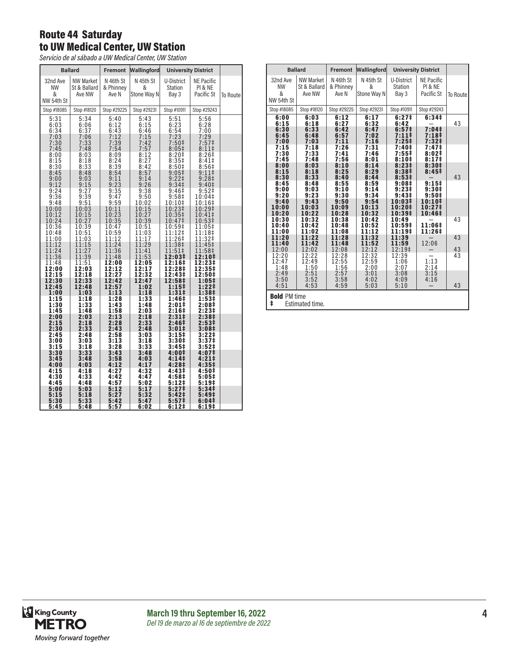### Route 44 Saturday to UW Medical Center, UW Station

*Servicio de al sábado a UW Medical Center, UW Station*

|                                                      | <b>Ballard</b>                                       | Fremont                                              | Wallingford                                          |                                                                         | <b>University District</b>                                          |          |
|------------------------------------------------------|------------------------------------------------------|------------------------------------------------------|------------------------------------------------------|-------------------------------------------------------------------------|---------------------------------------------------------------------|----------|
| 32nd Ave<br><b>NW</b><br>&<br>NW 54th St             | <b>NW Market</b><br>St & Ballard<br>Ave NW           | N 46th St<br>& Phinney<br>Ave N                      | N 45th St<br>&<br>Stone Way N                        | U-District<br>Station<br>Bay 3                                          | <b>NE Pacific</b><br>PI & NE<br>Pacific St                          | To Route |
| Stop #18085                                          | Stop #18120                                          | Stop #29225                                          | Stop #29231                                          | Stop #10911                                                             | Stop #29243                                                         |          |
| 5:31<br>6:03<br>6:34<br>7:03<br>7:30<br>7:45<br>8:00 | 5:34<br>6:06<br>6:37<br>7:06<br>7:33<br>7:48<br>8:03 | 5:40<br>6:12<br>6:43<br>7:12<br>7:39<br>7:54<br>8:09 | 5:43<br>6:15<br>6:46<br>7:15<br>7:42<br>7:57<br>8:12 | 5:51<br>$6:23$<br>$6:54$<br>7:23<br>7:50 <sup>‡</sup><br>8:05#<br>8:20‡ | 5:56<br>6:28<br>7:00<br>7:29<br>7:57 <sup>‡</sup><br>8:11#<br>8:26‡ |          |
| 8:15                                                 | 8:18                                                 | 8:24                                                 | 8:27                                                 | 8:35#                                                                   | 8:41‡                                                               |          |
| 8:30                                                 | 8:33                                                 | 8:39                                                 | 8:42                                                 | 8:50‡                                                                   | 8:56‡                                                               |          |
| 8:45                                                 | 8:48                                                 | 8:54                                                 | 8:57                                                 | 9:05 <sup>‡</sup>                                                       | 9:11                                                                |          |
| 9:00                                                 | 9:03                                                 | 9:11                                                 | 9:14                                                 | 9:221                                                                   | 9:28 <sup>‡</sup>                                                   |          |
| 9:12                                                 | 9:15                                                 | 9:23                                                 | 9:26                                                 | 9:34 <sup>‡</sup>                                                       | 9:40 <sup>‡</sup>                                                   |          |
| 9:24                                                 | 9:27                                                 | 9:35                                                 | 9:38                                                 | 9:46‡                                                                   | 9:52‡                                                               |          |
| 9:36                                                 | 9:39                                                 | 9:47                                                 | 9:50                                                 | 9:58 <sup>‡</sup>                                                       | 10:04‡                                                              |          |
| 9:48                                                 | 9:51                                                 | 9:59                                                 | 10:02                                                | 10:10‡                                                                  | 10:16‡                                                              |          |
| 10:00                                                | 10:03                                                | 10:11                                                | 10:15                                                | 10:23‡                                                                  | 10:29‡                                                              |          |
| 10:12                                                | 10:15                                                | 10:23                                                | 10:27                                                | 10:35‡                                                                  | 10:41‡                                                              |          |
| 10:24                                                | 10:27                                                | 10:35                                                | 10:39                                                | 10:47‡                                                                  | 10:53‡                                                              |          |
| 10:36                                                | 10:39                                                | 10:47                                                | 10:51                                                | 10:59‡                                                                  | 11:05‡                                                              |          |
| 10:48                                                | 10:51                                                | 10:59                                                | 11:03                                                | 11:12‡                                                                  | 11:18‡                                                              |          |
| 11:00                                                | 11:03                                                | 11:12                                                | 11:17                                                | 11:26‡                                                                  | 11:32‡                                                              |          |
| 11:12                                                | 11:15                                                | 11:24                                                | 11:29                                                | 11:38‡                                                                  | 11:45‡                                                              |          |
| 11:24                                                | 11:27                                                | 11:36                                                | 11:41                                                | 11:51‡                                                                  | 11:58‡                                                              |          |
| 11:36                                                | 11:39                                                | 11:48                                                | 11:53                                                | 12:03‡                                                                  | 12:10‡                                                              |          |
| 11:48                                                | 11:51                                                | 12:00                                                | 12:05                                                | 12:16‡                                                                  | 12:23‡                                                              |          |
| 12:00                                                | 12:03                                                | 12:12                                                | 12:17                                                | 12:28‡                                                                  | 12:35‡                                                              |          |
| 12:15                                                | 12:18                                                | 12:27                                                | 12:32                                                | 12:43‡                                                                  | 12:50‡                                                              |          |
| 12:30                                                | 12:33                                                | 12:42                                                | 12:47                                                | 12:58‡                                                                  | 1:05‡                                                               |          |
| 12:45                                                | 12:48                                                | 12:57                                                | 1:02                                                 | 1:15‡                                                                   | 1:22‡                                                               |          |
| 1:00                                                 | 1:03                                                 | 1:13                                                 | 1:18                                                 | 1:31‡                                                                   | 1:38‡                                                               |          |
| 1:15                                                 | 1:18                                                 | 1:28                                                 | 1:33                                                 | 1:46‡                                                                   | 1:53‡                                                               |          |
| 1:30                                                 | 1:33                                                 | 1:43                                                 | 1:48                                                 | 2:01‡                                                                   | 2:08‡                                                               |          |
| 1:45                                                 | 1:48                                                 | 1:58                                                 | 2:03                                                 | 2:16‡                                                                   | 2:23‡                                                               |          |
| 2:00                                                 | 2:03                                                 | 2:13                                                 | 2:18                                                 | 2:31 <sup>‡</sup>                                                       | 2:38‡                                                               |          |
| 2:15                                                 | 2:18                                                 | 2:28                                                 | 2:33                                                 | 2:46‡                                                                   | 2:53‡                                                               |          |
| 2:30                                                 | 2:33                                                 | 2:43                                                 | 2:48                                                 | 3:01‡                                                                   | 3:08‡                                                               |          |
| 2:45                                                 | 2:48                                                 | 2:58                                                 | 3:03                                                 | 3:15#                                                                   | 3:22‡                                                               |          |
| 3:00                                                 | 3:03                                                 | 3:13                                                 | 3:18                                                 | 3:30‡                                                                   | 3:37‡                                                               |          |
| 3:15                                                 | 3:18                                                 | 3:28                                                 | 3:33                                                 | 3:45 <sup>‡</sup>                                                       | 3:52 <sup>‡</sup>                                                   |          |
| 3:30                                                 | 3:33                                                 | 3:43                                                 | 3:48                                                 | 4:00‡                                                                   | 4:07‡                                                               |          |
| 3:45                                                 | 3:48                                                 | 3:58                                                 | 4:03                                                 | 4:141                                                                   | 4:21‡                                                               |          |
| 4:00                                                 | 4:03                                                 | 4:12                                                 | 4:17                                                 | 4:28‡                                                                   | 4:35‡                                                               |          |
| 4:15                                                 | 4:18                                                 | 4:27                                                 | 4:32                                                 | 4:43‡                                                                   | 4:50‡                                                               |          |
| 4:30                                                 | 4:33                                                 | 4:42                                                 | 4:47                                                 | 4:58‡                                                                   | 5:05#                                                               |          |
| 4:45                                                 | 4:48                                                 | 4:57                                                 | 5:02                                                 | 5:12‡                                                                   | $5:19+$                                                             |          |
| 5:00                                                 | 5:03                                                 | 5:12                                                 | 5:17                                                 | 5:27                                                                    | 5:34‡                                                               |          |
| 5:15                                                 | 5:18                                                 | 5:27                                                 | 5:32                                                 | 5:42 <sup>‡</sup>                                                       | 5:49‡                                                               |          |
| 5:30                                                 | 5:33                                                 | 5:42                                                 | 5:47                                                 | 5:57                                                                    | 6:04‡                                                               |          |
| 5:45                                                 | 5:48                                                 | 5:57                                                 | 6:02                                                 | 6:12 <sup>‡</sup>                                                       | 6:19‡                                                               |          |

|                                              | <b>Ballard</b>                               | Fremont                                      | Wallingford                                  |                                                                    | <b>University District</b>                                                                         |          |
|----------------------------------------------|----------------------------------------------|----------------------------------------------|----------------------------------------------|--------------------------------------------------------------------|----------------------------------------------------------------------------------------------------|----------|
| 32nd Ave<br><b>NW</b><br>&<br>NW 54th St     | <b>NW Market</b><br>St & Ballard<br>Ave NW   | N 46th St<br>& Phinney<br>Ave N              | N 45th St<br>&<br>Stone Way N                | U-District<br><b>Station</b><br>Bay 3                              | <b>NE Pacific</b><br>PI & NE<br>Pacific St                                                         | To Route |
| Stop #18085                                  | Stop #18120                                  | Stop #29225                                  | Stop #29231                                  | Stop #10911                                                        | Stop #29243                                                                                        |          |
| 6:00<br>6:15                                 | 6:03<br>6:18                                 | 6:12<br>6:27                                 | 6:17<br>6:32                                 | 6:27 <sup>‡</sup><br>6:42                                          | 6:34#                                                                                              | 43       |
| 6:30<br>6:45<br>7:00<br>7:15<br>7:30<br>7:45 | 6:33<br>6:48<br>7:03<br>7:18<br>7:33<br>7:48 | 6:42<br>6:57<br>7:11<br>7:26<br>7:41<br>7:56 | 6:47<br>7:02<br>7:16<br>7:31<br>7:46<br>8:01 | 6:57 <sup>‡</sup><br>7:11<br>$7:25+$<br>7:40‡<br>$7:55$ ‡<br>8:10# | 7:04#<br>7:18 <sup>‡</sup><br>7:32 <sup>‡</sup><br>7:47 <sup>‡</sup><br>8:02‡<br>8:17 <sup>‡</sup> |          |
| 8:00<br>8:15<br>8:30                         | 8:03<br>8:18<br>8:33                         | 8:10<br>8:25<br>8:40                         | 8:14<br>8:29<br>8:44                         | 8:23#<br>8:38 <sup>‡</sup><br>8:53#                                | 8:30#<br>8:45#                                                                                     | 43       |
| 8:45<br>9:00<br>9:20                         | 8:48<br>9:03<br>9:23                         | 8:55<br>9:10<br>9:30                         | 8:59<br>9:14<br>9:34                         | 9:08#<br>$9:23 \pm$<br>9:43 <sup>‡</sup>                           | 9:15#<br>9:30#<br>9:50 <sup>‡</sup>                                                                |          |
| 9:40<br>10:00<br>10:20                       | 9:43<br>10:03<br>10:22                       | 9:50<br>10:09<br>10:28                       | 9:54<br>10:13<br>10:32                       | 10:03‡<br>10:20‡<br>10:39 <sup>‡</sup>                             | 10:10‡<br>10:27‡<br>10:46‡                                                                         |          |
| 10:30<br>10:40<br>11:00                      | 10:32<br>10:42<br>11:02                      | 10:38<br>10:48<br>11:08                      | 10:42<br>10:52<br>11:12                      | 10:49<br>10:59‡<br>11:19‡                                          | 11:06‡<br>11:26‡                                                                                   | 43       |
| 11:20<br>11:40<br>12:00                      | 11:22<br>11:42<br>12:02                      | 11:28<br>11:48<br>12:08                      | 11:32<br>11:52<br>12:12                      | 11:39<br>11:59<br>12:19‡                                           | 12:06                                                                                              | 43<br>43 |
| 12:20<br>12:47<br>1:48                       | 12:22<br>12:49<br>1:50                       | 12:28<br>12:55<br>1:56                       | 12:32<br>12:59<br>2:00                       | 12:39<br>1:06<br>2:07                                              | 1:13<br>2:14                                                                                       | 43       |
| 2:49<br>3:50<br>4:51                         | 2:51<br>3:52<br>4:53                         | 2:57<br>3:58<br>4:59                         | 3:01<br>4:02<br>5:03                         | 3:08<br>4:09<br>5:10                                               | 3:15<br>4:16                                                                                       | 43       |
| <b>Bold PM time</b><br>ŧ                     | Estimated time.                              |                                              |                                              |                                                                    |                                                                                                    |          |

King County<br>METRO Moving forward together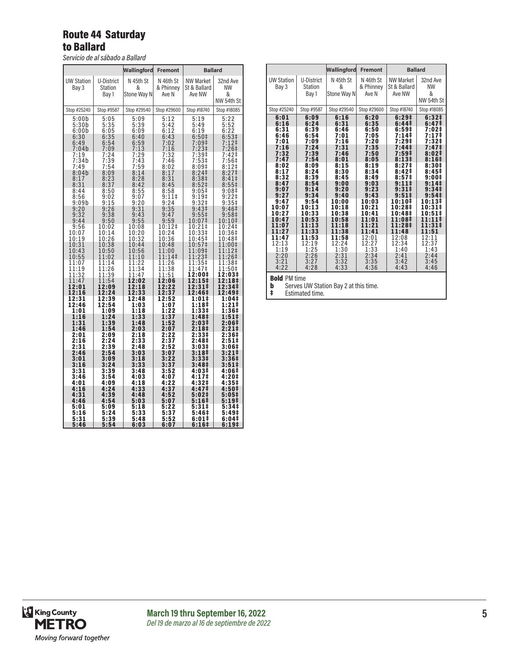#### Route 44 Saturday to Ballard

*Servicio de al sábado a Ballard*

|                                              | <b>Fremont</b>                                                                |                                                                                                       | <b>Ballard</b>                                                                                                             |
|----------------------------------------------|-------------------------------------------------------------------------------|-------------------------------------------------------------------------------------------------------|----------------------------------------------------------------------------------------------------------------------------|
| N 45th St<br>&<br>Stone Way N                | N 46th St<br>& Phinney<br>Ave N                                               | NW Market<br>St & Ballard<br>Ave NW                                                                   | 32nd Ave<br><b>NW</b><br>&<br>NW 54th St                                                                                   |
| Stop #29540                                  | Stop #29600                                                                   | Stop #18740                                                                                           | Stop #18085                                                                                                                |
| 5:09<br>5:39<br>6:09<br>6:40<br>6:59<br>7:13 | 5:12<br>5:42<br>6:12<br>6:43<br>7:02<br>7:16                                  | 5:19<br>5:49<br>6:19<br>6:50‡<br>$7:09$ ‡                                                             | 5:22<br>5:52<br>6:22<br>6:53 <sup>‡</sup><br>$7:12$ ‡<br>7:26‡                                                             |
| 7:29<br>7:43<br>7:59                         | 7:32<br>7:46<br>8:02                                                          | 7:53‡<br>8:09#                                                                                        | 7:42‡<br>7:56‡<br>$8:12+$                                                                                                  |
| 8:14<br>8:28<br>8:42<br>8:55<br>9:07<br>9:20 | 8:17<br>8:31<br>8:45<br>8:58<br>9:11                                          | 8:24 <sup>‡</sup><br>8:38 <sup>‡</sup><br>8:52 <sup>†</sup><br>9:05<br>9:19‡<br>9:32‡                 | 8:27 <sup>‡</sup><br>8:41<br>8:551<br>9:08‡<br>$9:22$ ‡<br>9:35 <sup>‡</sup>                                               |
| 9:43<br>9:55                                 | 9:47<br>9:59                                                                  | 9:55‡<br>10:07‡                                                                                       | 9:46 <sup>‡</sup><br>9:58 <sup>‡</sup><br>10:10‡                                                                           |
| 10:20<br>10:32                               | 10:24<br>10:36                                                                | 10:33‡<br>10:45‡                                                                                      | 10:24‡<br>10:36‡<br>10:48‡<br>11:00‡                                                                                       |
| 10:56<br>11:10                               | 11:00<br>11:14‡                                                               | 11:09‡<br>11:23‡                                                                                      | $1:12+$<br>1<br>11:26‡<br>11:38‡                                                                                           |
| 11:34<br>11:47                               | 11:38<br>11:51                                                                | 11:47‡<br>12:00‡                                                                                      | 11:50‡<br>12:03‡                                                                                                           |
| 12:18<br>12:33                               | 12:22<br>12:37                                                                | 12:31‡<br>12:46‡                                                                                      | 12:18‡<br>12:34‡<br>12:49‡                                                                                                 |
| 1:03<br>1:18                                 | 1:07<br>1:22                                                                  | 1:18‡<br>1:33‡                                                                                        | 1:04‡<br>1:21‡<br>1:36#                                                                                                    |
| 1:48<br>2:03                                 | 1:52<br>2:07                                                                  | 2:03‡<br>2:18‡                                                                                        | $1:51 \;$<br>2:06‡<br>2:21‡                                                                                                |
| 2:18<br>2:33<br>2:48                         | 2:22<br>2:37<br>2:52                                                          | 2:33‡<br>2:48‡                                                                                        | 2:36‡<br>2:51‡<br>3:06‡                                                                                                    |
| 3:03<br>3:18                                 | 3:07<br>3:22                                                                  | 3:18‡<br>3:33 <sup>‡</sup>                                                                            | $3:21 \;$<br>3:36#<br>$3:51\ddagger$                                                                                       |
| 3:48<br>4:03<br>4:18                         | 3:52<br>4:07<br>4:22                                                          | 4:03‡<br>4:17‡<br>4:32‡                                                                               | 4:06‡<br>4:20‡<br>4:35‡                                                                                                    |
| 4:33<br>4:48<br>5:03                         | 4:37<br>4:52<br>5:07                                                          | 4:47‡<br>5:02‡<br>5:16‡                                                                               | 4:50‡<br>5:05‡<br>$5:19+$                                                                                                  |
| 5:18<br>5:33<br>5:48                         | 5:22<br>5:37<br>5:52                                                          | 5:31‡<br>5:46‡<br>6:01‡                                                                               | 5:34‡<br>5:49‡<br>6:04‡<br>6:19‡                                                                                           |
|                                              | 9:31<br>10:08<br>10:44<br>1:22<br>1<br>12:02<br>12:48<br>1:33<br>3:33<br>6:03 | Wallingford<br>$9:24$<br>$9:35$<br>10:12‡<br>10:48<br>11:26<br>12:06<br>12:52<br>1:37<br>3:37<br>6:07 | 7:23‡<br>$7:39+$<br>9:43‡<br>10:21‡<br>10:57‡<br>11:35‡<br>12:15‡<br>1:01‡<br>1:48 <sup>‡</sup><br>3:03#<br>3:48‡<br>6:16‡ |

|                                                                                                                                                                                                             |                                                                                                                                                                                                             | Wallingford                                                                                                                                                                                                  | <b>Fremont</b>                                                                                                                                                                                               | <b>Ballard</b>                                                                                                                                                                                                                                                                          |                                                                                                                                                                                                                                                                                                                      |
|-------------------------------------------------------------------------------------------------------------------------------------------------------------------------------------------------------------|-------------------------------------------------------------------------------------------------------------------------------------------------------------------------------------------------------------|--------------------------------------------------------------------------------------------------------------------------------------------------------------------------------------------------------------|--------------------------------------------------------------------------------------------------------------------------------------------------------------------------------------------------------------|-----------------------------------------------------------------------------------------------------------------------------------------------------------------------------------------------------------------------------------------------------------------------------------------|----------------------------------------------------------------------------------------------------------------------------------------------------------------------------------------------------------------------------------------------------------------------------------------------------------------------|
| <b>UW Station</b><br>Bay 3                                                                                                                                                                                  | U-District<br><b>Station</b><br>Bay 1                                                                                                                                                                       | N 45th St<br>&<br>Stone Way N                                                                                                                                                                                | N 46th St<br>& Phinney<br>Ave N                                                                                                                                                                              | <b>NW Market</b><br>St & Ballard<br>Ave NW                                                                                                                                                                                                                                              | 32nd Ave<br><b>NW</b><br>&<br>NW 54th St                                                                                                                                                                                                                                                                             |
| Stop #25240                                                                                                                                                                                                 | Stop #9587                                                                                                                                                                                                  | Stop #29540                                                                                                                                                                                                  | Stop #29600                                                                                                                                                                                                  | Stop #18740                                                                                                                                                                                                                                                                             | Stop #18085                                                                                                                                                                                                                                                                                                          |
| 6:01<br>6:16<br>6:31<br>6:46<br>7:01<br>7:16<br>7:32<br>7:47<br>8:02<br>8:17<br>8:32<br>8:47<br>9:07<br>9:27<br>9:47<br>10:07<br>10:27<br>10:47<br>11:07<br>11:27<br>11:47<br>12:13<br>1:19<br>2:20<br>3:21 | 6:09<br>6:24<br>6:39<br>6:54<br>7:09<br>7:24<br>7:39<br>7:54<br>8:09<br>8:24<br>8:39<br>8:54<br>9:14<br>9:34<br>9:54<br>10:13<br>10:33<br>10:53<br>11:13<br>11:33<br>11:53<br>12:19<br>1:25<br>2:26<br>3:27 | 6:16<br>6:31<br>6:46<br>7:01<br>7:16<br>7:31<br>7:46<br>8:01<br>8:15<br>8:30<br>8:45<br>9:00<br>9:20<br>9:40<br>10:00<br>10:18<br>10:38<br>10:58<br>11:18<br>11:38<br>11:58<br>12:24<br>1:30<br>2:31<br>3:32 | 6:20<br>6:35<br>6:50<br>7:05<br>7:20<br>7:35<br>7:50<br>8:05<br>8:19<br>8:34<br>8:49<br>9:03<br>9:23<br>9:43<br>10:03<br>10:21<br>10:41<br>11:01<br>11:21<br>11:41<br>12:01<br>12:27<br>1:33<br>2:34<br>3:35 | 6:29‡<br>6:44‡<br>6:59‡<br>7:14‡<br>7:29‡<br>7:44 <sup>‡</sup><br>7:59‡<br>8:13#<br>8:27 <sup>‡</sup><br>8:42‡<br>8:57 <sup>‡</sup><br>9:111<br>$9:31\pm$<br>$9:51\pm$<br>10:10 <sup>‡</sup><br>10:28‡<br>10:48‡<br>11:08‡<br>11:28‡<br>11:48<br>12:08<br>12:34<br>1:40<br>2:41<br>3:42 | 6:32 <sup>‡</sup><br>6:47 <sup>‡</sup><br>7:02‡<br>7:17‡<br>7:32‡<br>7:47 <sup>‡</sup><br>$8:02\ddagger$<br>8:16 <sup>‡</sup><br>8:30‡<br>8:45‡<br>9:001<br>9:14 <sup>‡</sup><br>$9:34\pm$<br>9:54 <sup>‡</sup><br>10:13‡<br>10:31‡<br>10:51‡<br>11:11‡<br>11:31‡<br>11:51<br>12:11<br>12:37<br>1:43<br>2:44<br>3:45 |
| 4:22<br><b>Bold PM time</b>                                                                                                                                                                                 | 4:28                                                                                                                                                                                                        | 4:33                                                                                                                                                                                                         | 4:36                                                                                                                                                                                                         | 4:43                                                                                                                                                                                                                                                                                    | 4:46                                                                                                                                                                                                                                                                                                                 |

**b** Serves UW Station Bay 2 at this time.<br> **‡** Estimated time.

**Estimated time.** 

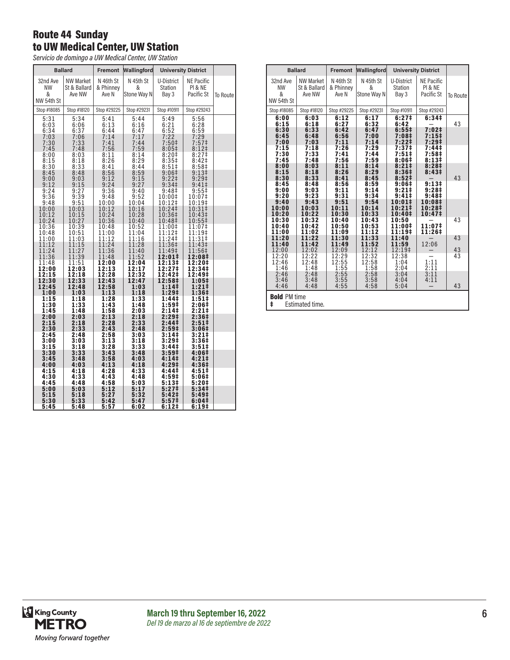### Route 44 Sunday to UW Medical Center, UW Station

*Servicio de domingo a UW Medical Center, UW Station*

|                                   | <b>Ballard</b>                      | Fremont                         | Wallingford                   |                                  | <b>University District</b>                      |          |
|-----------------------------------|-------------------------------------|---------------------------------|-------------------------------|----------------------------------|-------------------------------------------------|----------|
| 32nd Ave<br>NW<br>&<br>NW 54th St | NW Market<br>St & Ballard<br>Ave NW | N 46th St<br>& Phinney<br>Ave N | N 45th St<br>&<br>Stone Way N | U-District<br>Station<br>Bay 3   | NE Pacific<br>PI & NE<br>Pacific St             | To Route |
| Stop #18085                       | Stop #18120                         | Stop #29225                     | Stop #29231                   | Stop #10911                      | Stop #29243                                     |          |
| 5:31<br>6:03<br>6:34<br>7:03      | 5:34<br>6:06<br>6:37<br>7:06        | 5:41<br>6:13<br>6:44<br>7:14    | 5:44<br>6:16<br>6:47<br>7:17  | 5:49<br>$6:21$<br>$6:52$<br>7:22 | 5:56<br>6:28<br>6:59<br>7:29                    |          |
| 7:30                              | 7:33                                | 7:41                            | 7:44                          | 7:50 <sup>‡</sup>                | 7:57 <sup>‡</sup>                               |          |
| 7:45                              | 7:48                                | 7:56                            | 7:59                          | $8:05\ddagger$                   | $8:12$ ‡                                        |          |
| 8:00<br>8:15<br>8:30              | 8:03<br>8:18<br>8:33                | 8:11<br>8:26<br>8:41            | 8:14<br>8:29<br>8:44          | $8:20‡$<br>8:35‡<br>8:51         | 8:27‡<br>8:42 <sup>‡</sup><br>8:58 <sup>‡</sup> |          |
| 8:45                              | 8:48                                | 8:56                            | 8:59                          | 9:06‡                            | 9:13 <sup>‡</sup>                               |          |
| 9:00                              | 9:03                                | 9:12                            | 9:15                          | 9:221                            | $9:29+$                                         |          |
| 9:12                              | 9:15                                | 9:24                            | 9:27                          | 9:34 <sup>‡</sup>                | $9:41 \pm$                                      |          |
| 9:24                              | 9:27                                | 9:36                            | 9:40                          | 9:48 <sup>‡</sup>                | 9:55                                            |          |
| 9:36                              | 9:39                                | 9:48                            | 9:52                          | 10:00‡                           | 10:07‡                                          |          |
| 9:48                              | 9:51                                | 10:00                           | 10:04                         | 10:12‡                           | 10:19‡                                          |          |
| 10:00                             | 10:03                               | 10:12                           | 10:16                         | 10:24‡                           | 10:31‡                                          |          |
| 10:12                             | 10:15                               | 10:24                           | 10:28                         | 10:36‡                           | 10:43‡                                          |          |
| 10:24                             | 10:27                               | 10:36                           | 10:40                         | 10:48‡                           | 10:55‡                                          |          |
| 10:36                             | 10:39                               | 10:48                           | 10:52                         | 11:00‡                           | 11:07‡                                          |          |
| 10:48                             | 10:51                               | 11:00                           | 11:04                         | 11:12‡                           | 11:19‡                                          |          |
| 11:00                             | 11:03                               | 11:12                           | 11:16                         | 11:24‡                           | 11:31‡                                          |          |
| 11:12                             | 11:15                               | 11:24                           | 11:28                         | 11:36‡                           | 11:43‡                                          |          |
| 11:24                             | 11:27                               | 11:36                           | 11:40                         | 11:49‡                           | 11:56‡                                          |          |
| 11:36                             | 11:39                               | 11:48                           | 11:52                         | 12:01‡                           | 12:08‡                                          |          |
| 11:48                             | 11:51                               | 12:00                           | 12:04                         | 12:13‡                           | 12:20‡                                          |          |
| 12:00                             | 12:03                               | 12:13                           | 12:17                         | 12:27‡                           | 12:34‡                                          |          |
| 12:15                             | 12:18                               | 12:28                           | 12:32                         | 12:42‡                           | 12:49‡                                          |          |
| 12:30                             | 12:33                               | 12:43                           | 12:47                         | 12:58‡                           | 1:05‡                                           |          |
| 12:45                             | 12:48                               | 12:58                           | 1:03                          | 1:14‡                            | $1:21 \;$                                       |          |
| 1:00                              | 1:03                                | 1:13                            | 1:18                          | 1:29 <sup>‡</sup>                | 1:36‡                                           |          |
| 1:15                              | 1:18                                | 1:28                            | 1:33                          | 1:44‡                            | 1:51‡                                           |          |
| 1:30                              | 1:33                                | 1:43                            | 1:48                          | 1:59‡                            | 2:06‡                                           |          |
| 1:45                              | 1:48                                | 1:58                            | 2:03                          | 2:14‡                            | 2:21#                                           |          |
| 2:00                              | 2:03                                | 2:13                            | 2:18                          | 2:29 <sup>‡</sup>                | 2:36‡                                           |          |
| 2:15                              | 2:18                                | 2:28                            | 2:33                          | 2:44‡                            | 2:51‡                                           |          |
| 2:30                              | 2:33                                | 2:43                            | 2:48                          | 2:59‡                            | 3:06‡                                           |          |
| 2:45                              | 2:48                                | 2:58                            | 3:03                          | 3:14‡                            | 3:21‡                                           |          |
| 3:00                              | 3:03                                | 3:13                            | 3:18                          | 3:29‡                            | 3:36‡                                           |          |
| 3:15                              | 3:18                                | 3:28                            | 3:33                          | 3:44 <sup>‡</sup>                | 3:51‡                                           |          |
| 3:30                              | 3:33                                | 3:43                            | 3:48                          | 3:59‡                            | 4:06‡                                           |          |
| 3:45                              | 3:48                                | 3:58                            | 4:03                          | 4:14‡                            | 4:21‡                                           |          |
| 4:00                              | 4:03                                | 4:13                            | 4:18                          | $4:29^{\ddagger}$                | 4:36‡                                           |          |
| 4:15                              | 4:18                                | 4:28                            | 4:33                          | 4:44‡                            | 4:51‡                                           |          |
| 4:30                              | 4:33                                | 4:43                            | 4:48                          | 4:59‡                            | 5:06‡                                           |          |
| 4:45                              | 4:48                                | 4:58                            | 5:03                          | $5:13+$                          | 5:20‡                                           |          |
| 5:00                              | 5:03                                | 5:12                            | 5:17                          | 5:27 <sup>‡</sup>                | 5:34‡                                           |          |
| 5:15                              | 5:18                                | 5:27                            | 5:32                          | 5:42‡                            | 5:49‡                                           |          |
| 5:30                              | 5:33                                | 5:42                            | 5:47                          | 5:57 <sup>‡</sup>                | 6:04‡                                           |          |
| 5:45                              | 5:48                                | 5:57                            | 6:02                          | 6:12#                            | 6:19‡                                           |          |

|                                              | <b>Ballard</b>                               | Fremont                                      | Wallingford                                  |                                                                    | <b>University District</b>                                                |          |
|----------------------------------------------|----------------------------------------------|----------------------------------------------|----------------------------------------------|--------------------------------------------------------------------|---------------------------------------------------------------------------|----------|
| 32nd Ave<br><b>NW</b><br>&<br>NW 54th St     | <b>NW Market</b><br>St & Ballard<br>Ave NW   | N 46th St<br>& Phinney<br>Ave N              | N 45th St<br>&<br>Stone Way N                | U-District<br><b>Station</b><br>Bay 3                              | <b>NE Pacific</b><br>PI & NE<br>Pacific St                                | To Route |
| Stop #18085                                  | Stop #18120                                  | Stop #29225                                  | Stop #29231                                  | Stop #10911                                                        | Stop #29243                                                               |          |
| 6:00<br>6:15                                 | 6:03<br>6:18                                 | 6:12<br>6:27                                 | 6:17<br>6:32                                 | 6:27 <sup>‡</sup><br>6:42                                          | 6:34#                                                                     | 43       |
| 6:30<br>6:45<br>7:00<br>7:15<br>7:30<br>7:45 | 6:33<br>6:48<br>7:03<br>7:18<br>7:33<br>7:48 | 6:42<br>6:56<br>7:11<br>7:26<br>7:41<br>7:56 | 6:47<br>7:00<br>7:14<br>7:29<br>7:44<br>7:59 | $6:55\ddagger$<br>7:08‡<br>7:22‡<br>7:37‡<br>7:51‡<br>8:06‡        | 7:02 <sup>‡</sup><br>7:15<br>7:29‡<br>7:44 <sup>‡</sup><br>7:58‡<br>8:13# |          |
| 8:00<br>8:15<br>8:30<br>8:45<br>9:00<br>9:20 | 8:03<br>8:18<br>8:33<br>8:48<br>9:03<br>9:23 | 8:11<br>8:26<br>8:41<br>8:56<br>9:11<br>9:31 | 8:14<br>8:29<br>8:45<br>8:59<br>9:14<br>9:34 | 8:21#<br>8:36‡<br>8:52 <sup>‡</sup><br>9:06#<br>9:21‡<br>$9:41 \;$ | 8:28‡<br>8:43 <sup>‡</sup><br>9:13#<br>9:28 <sup>‡</sup><br>9:48‡         | 43       |
| 9:40<br>10:00<br>10:20                       | 9:43<br>10:03<br>10:22                       | 9:51<br>10:11<br>10:30                       | 9:54<br>10:14<br>10:33                       | 10:01‡<br>10:21‡<br>10:40‡                                         | 10:08‡<br>10:28‡<br>10:47‡                                                |          |
| 10:30<br>10:40<br>11:00                      | 10:32<br>10:42<br>11:02                      | 10:40<br>10:50<br>11:09                      | 10:43<br>10:53<br>11:12                      | 10:50<br>11:00‡<br>11:19‡                                          | 11:07#<br>11:26‡                                                          | 43       |
| 11:20<br>11:40<br>12:00                      | 11:22<br>11:42<br>12:02                      | 11:30<br>11:49<br>12:09                      | 11:33<br>11:52<br>12:12                      | 11:40<br>11:59<br>12:19‡                                           | 12:06                                                                     | 43<br>43 |
| 12:20<br>12:46<br>1:46                       | 12:22<br>12:48<br>1:48                       | 12:29<br>12:55<br>1:55                       | 12:32<br>12:58<br>1:58                       | 12:38<br>1:04<br>2:04                                              | 1:11<br>2:11                                                              | 43       |
| 2:46<br>3:46<br>4:46                         | 2:48<br>3:48<br>4:48                         | 2:55<br>3:55<br>4:55                         | 2:58<br>3:58<br>4:58                         | 3:04<br>4:04<br>5:04                                               | 3:11<br>4:11                                                              | 43       |
| <b>Bold PM time</b><br>ŧ                     | Estimated time.                              |                                              |                                              |                                                                    |                                                                           |          |

King County<br>METRO Moving forward together